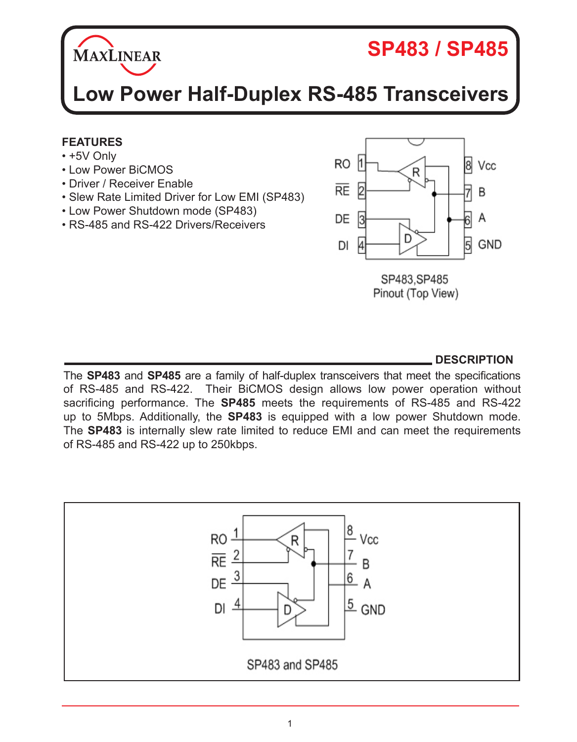

# **SP483 / SP485**

**Low Power Half-Duplex RS-485 Transceivers**

#### **FEATURES**

- +5V Only
- Low Power BiCMOS
- Driver / Receiver Enable
- Slew Rate Limited Driver for Low EMI (SP483)
- Low Power Shutdown mode (SP483)
- RS-485 and RS-422 Drivers/Receivers



**DESCRIPTION**

The **SP483** and **SP485** are a family of half-duplex transceivers that meet the specifications of RS-485 and RS-422. Their BiCMOS design allows low power operation without sacrificing performance. The **SP485** meets the requirements of RS-485 and RS-422 up to 5Mbps. Additionally, the **SP483** is equipped with a low power Shutdown mode. The **SP483** is internally slew rate limited to reduce EMI and can meet the requirements of RS-485 and RS-422 up to 250kbps.

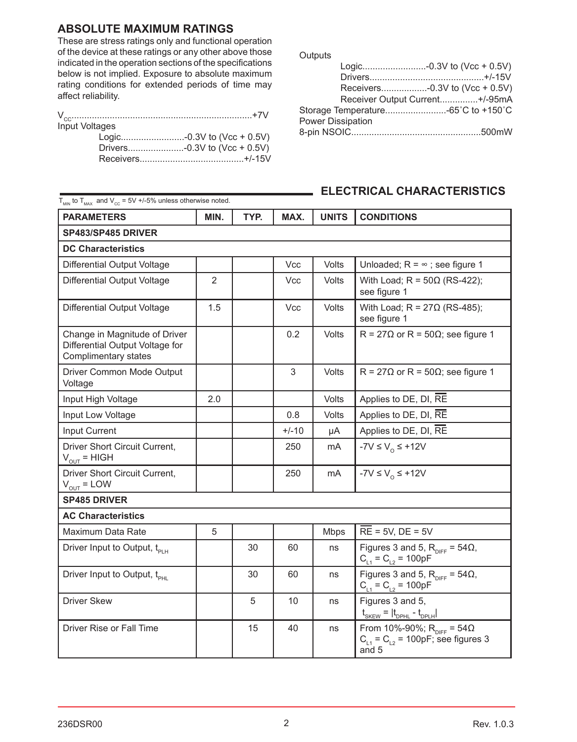#### **ABSOLUTE MAXIMUM RATINGS**

These are stress ratings only and functional operation of the device at these ratings or any other above those indicated in the operation sections of the specifications below is not implied. Exposure to absolute maximum rating conditions for extended periods of time may affect reliability.

| <b>Input Voltages</b> |  |
|-----------------------|--|
|                       |  |
|                       |  |
|                       |  |

**Outputs** 

|                                     | Receiver Output Current+/-95mA |
|-------------------------------------|--------------------------------|
| Storage Temperature -65°C to +150°C |                                |
| <b>Power Dissipation</b>            |                                |
|                                     |                                |
|                                     |                                |

| <b>PARAMETERS</b>                                                                        | MIN.           | TYP. | MAX.       | <b>UNITS</b> | <b>CONDITIONS</b>                                                                                |
|------------------------------------------------------------------------------------------|----------------|------|------------|--------------|--------------------------------------------------------------------------------------------------|
| SP483/SP485 DRIVER                                                                       |                |      |            |              |                                                                                                  |
| <b>DC Characteristics</b>                                                                |                |      |            |              |                                                                                                  |
| Differential Output Voltage                                                              |                |      | <b>Vcc</b> | Volts        | Unloaded; $R = \infty$ ; see figure 1                                                            |
| Differential Output Voltage                                                              | $\overline{2}$ |      | Vcc        | Volts        | With Load; $R = 50\Omega$ (RS-422);<br>see figure 1                                              |
| Differential Output Voltage                                                              | 1.5            |      | <b>Vcc</b> | Volts        | With Load; $R = 27\Omega$ (RS-485);<br>see figure 1                                              |
| Change in Magnitude of Driver<br>Differential Output Voltage for<br>Complimentary states |                |      | 0.2        | Volts        | $R = 27\Omega$ or $R = 50\Omega$ ; see figure 1                                                  |
| Driver Common Mode Output<br>Voltage                                                     |                |      | 3          | Volts        | $R = 27\Omega$ or $R = 50\Omega$ ; see figure 1                                                  |
| Input High Voltage                                                                       | 2.0            |      |            | Volts        | Applies to DE, DI, RE                                                                            |
| Input Low Voltage                                                                        |                |      | 0.8        | Volts        | Applies to DE, DI, RE                                                                            |
| Input Current                                                                            |                |      | $+/-10$    | μA           | Applies to DE, DI, RE                                                                            |
| Driver Short Circuit Current,<br>$V_{\text{out}}$ = HIGH                                 |                |      | 250        | mA           | -7V ≤ $V_0$ ≤ +12V                                                                               |
| Driver Short Circuit Current,<br>$V_{OUT} = LOW$                                         |                |      | 250        | mA           | $-YV \leq V_0 \leq +12V$                                                                         |
| <b>SP485 DRIVER</b>                                                                      |                |      |            |              |                                                                                                  |
| <b>AC Characteristics</b>                                                                |                |      |            |              |                                                                                                  |
| Maximum Data Rate                                                                        | 5              |      |            | Mbps         | $RE = 5V$ , $DE = 5V$                                                                            |
| Driver Input to Output, t <sub>PLH</sub>                                                 |                | 30   | 60         | ns           | Figures 3 and 5, $R_{\text{DIFF}} = 54\Omega$ ,<br>$C_{11} = C_{12} = 100pF$                     |
| Driver Input to Output, t <sub>PHI</sub>                                                 |                | 30   | 60         | ns           | Figures 3 and 5, $R_{\text{DIFF}} = 54\Omega$ ,<br>$C_{11} = C_{12} = 100pF$                     |
| <b>Driver Skew</b>                                                                       |                | 5    | 10         | ns           | Figures 3 and 5,<br>$t_{SKEW} =  t_{DPHL} - t_{DPLH} $                                           |
| Driver Rise or Fall Time                                                                 |                | 15   | 40         | ns           | From 10%-90%; $R_{\text{DIFF}} = 54\Omega$<br>$C_{L1} = C_{L2} = 100pF$ ; see figures 3<br>and 5 |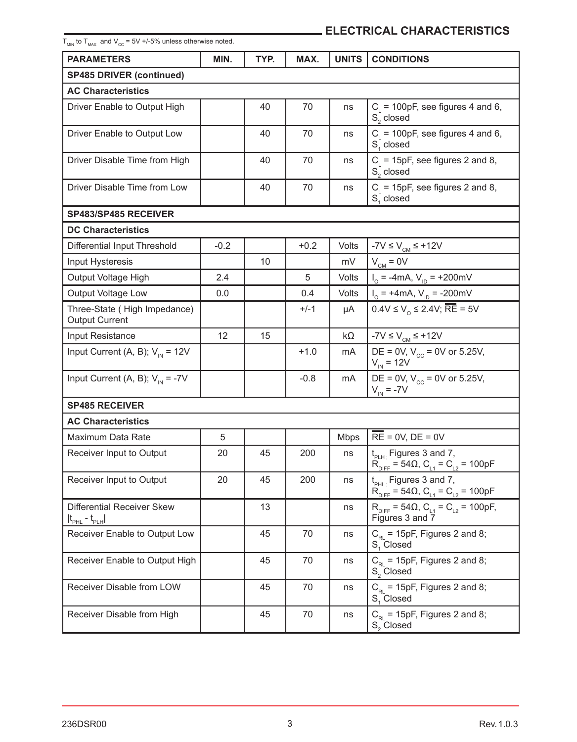| $T_{\text{MIN}}$ to $T_{\text{MAX}}$ and $V_{\text{CC}}$ = 5V +/-5% unless otherwise noted. |        |      |        |              |                                                                                                         |
|---------------------------------------------------------------------------------------------|--------|------|--------|--------------|---------------------------------------------------------------------------------------------------------|
| <b>PARAMETERS</b>                                                                           | MIN.   | TYP. | MAX.   | <b>UNITS</b> | <b>CONDITIONS</b>                                                                                       |
| <b>SP485 DRIVER (continued)</b>                                                             |        |      |        |              |                                                                                                         |
| <b>AC Characteristics</b>                                                                   |        |      |        |              |                                                                                                         |
| Driver Enable to Output High                                                                |        | 40   | 70     | ns           | $C_i$ = 100pF, see figures 4 and 6,<br>S <sub>c</sub> closed                                            |
| Driver Enable to Output Low                                                                 |        | 40   | 70     | ns           | $C_{L}$ = 100pF, see figures 4 and 6,<br>S <sub>1</sub> closed                                          |
| Driver Disable Time from High                                                               |        | 40   | 70     | ns           | $C_i$ = 15pF, see figures 2 and 8,<br>S <sub>c</sub> closed                                             |
| Driver Disable Time from Low                                                                |        | 40   | 70     | ns           | $C_i$ = 15pF, see figures 2 and 8,<br>S, closed                                                         |
| SP483/SP485 RECEIVER                                                                        |        |      |        |              |                                                                                                         |
| <b>DC Characteristics</b>                                                                   |        |      |        |              |                                                                                                         |
| Differential Input Threshold                                                                | $-0.2$ |      | $+0.2$ | Volts        | $-7V \le VCM \le +12V$                                                                                  |
| Input Hysteresis                                                                            |        | 10   |        | mV           | $V_{CM} = 0V$                                                                                           |
| Output Voltage High                                                                         | 2.4    |      | 5      | Volts        | $I_0 = -4mA$ , $V_{1D} = +200mV$                                                                        |
| Output Voltage Low                                                                          | 0.0    |      | 0.4    | Volts        | $I_0$ = +4mA, $V_{1D}$ = -200mV                                                                         |
| Three-State (High Impedance)<br><b>Output Current</b>                                       |        |      | $+/-1$ | μA           | $0.4V \le V_0 \le 2.4V$ , $\overline{RE} = 5V$                                                          |
| Input Resistance                                                                            | 12     | 15   |        | $k\Omega$    | -7V $\leq$ $V_{\text{CM}}$ $\leq$ +12V                                                                  |
| Input Current (A, B); $V_{\text{IN}} = 12V$                                                 |        |      | $+1.0$ | mA           | DE = 0V, $V_{cc}$ = 0V or 5.25V,<br>$V_{IN} = 12V$                                                      |
| Input Current (A, B); $V_{in} = -7V$                                                        |        |      | $-0.8$ | mA           | DE = 0V, $V_{cc}$ = 0V or 5.25V,<br>$V_{in} = -7V$                                                      |
| <b>SP485 RECEIVER</b>                                                                       |        |      |        |              |                                                                                                         |
| <b>AC Characteristics</b>                                                                   |        |      |        |              |                                                                                                         |
| Maximum Data Rate                                                                           | 5      |      |        | <b>Mbps</b>  | $RE = 0V$ , $DE = 0V$                                                                                   |
| Receiver Input to Output                                                                    | 20     | 45   | 200    | ns           | $t_{PLH}$ : Figures 3 and 7,<br>$R_{\text{DIFF}} = 54 \Omega$ , $C_{L1} = C_{L2} = 100pF$               |
| Receiver Input to Output                                                                    | 20     | 45   | 200    | ns           | t <sub>PHL:</sub> Figures 3 and 7,<br>$R_{\text{DIFF}} = 54 \Omega$ , $C_{L1} = C_{L2} = 100 \text{pF}$ |
| Differential Receiver Skew<br>$ t_{\text{PHL}} - t_{\text{PLH}} $                           |        | 13   |        | ns           | $R_{\text{DIFF}} = 54 \Omega$ , $C_{L1} = C_{L2} = 100 \text{pF}$ ,<br>Figures 3 and 7                  |
| Receiver Enable to Output Low                                                               |        | 45   | 70     | ns           | $C_{\text{RI}}$ = 15pF, Figures 2 and 8;<br>S <sub>1</sub> Closed                                       |
| Receiver Enable to Output High                                                              |        | 45   | 70     | ns           | $C_{\text{RL}}$ = 15pF, Figures 2 and 8;<br>S <sub>2</sub> Closed                                       |
| Receiver Disable from LOW                                                                   |        | 45   | 70     | ns           | $C_{RL}$ = 15pF, Figures 2 and 8;<br>S <sub>1</sub> Closed                                              |
| Receiver Disable from High                                                                  |        | 45   | 70     | ns           | $C_{\text{RI}}$ = 15pF, Figures 2 and 8;<br>$S_2$ Closed                                                |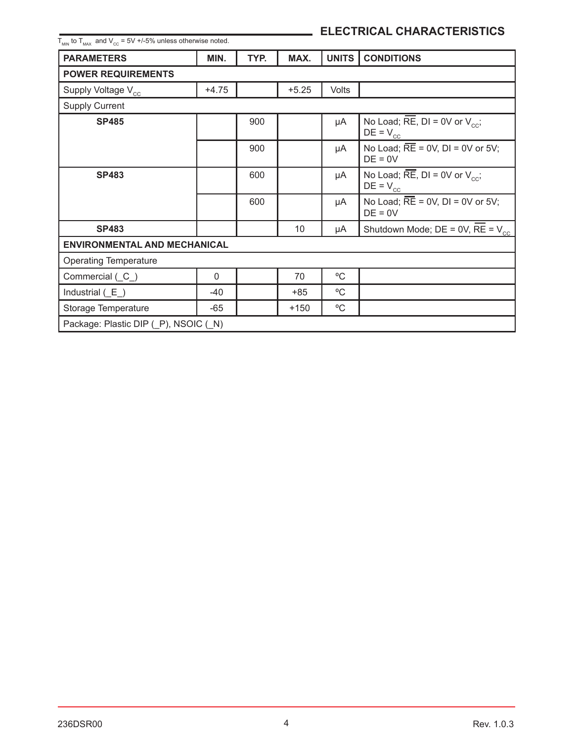| $I_{\text{min}}$ to $I_{\text{max}}$ and $V_{\text{eq}}$ = 5V +/-5% unless otherwise noted. |          |      |         |              |                                                                                 |  |
|---------------------------------------------------------------------------------------------|----------|------|---------|--------------|---------------------------------------------------------------------------------|--|
| <b>PARAMETERS</b>                                                                           | MIN.     | TYP. | MAX.    | <b>UNITS</b> | <b>CONDITIONS</b>                                                               |  |
| <b>POWER REQUIREMENTS</b>                                                                   |          |      |         |              |                                                                                 |  |
| Supply Voltage V <sub>cc</sub>                                                              | $+4.75$  |      | $+5.25$ | <b>Volts</b> |                                                                                 |  |
| <b>Supply Current</b>                                                                       |          |      |         |              |                                                                                 |  |
| <b>SP485</b>                                                                                |          | 900  |         | μA           | No Load; $\overline{\text{RE}}$ , DI = 0V or $V_{cc}$ ;<br>$DE = V_{cc}$        |  |
|                                                                                             |          | 900  |         | μA           | No Load; $\overline{RE}$ = 0V, DI = 0V or 5V;<br>$DE = 0V$                      |  |
| <b>SP483</b>                                                                                |          | 600  |         | μA           | No Load; $\overline{\text{RE}}$ , DI = 0V or $V_{\text{cc}}$ ;<br>$DE = V_{cc}$ |  |
|                                                                                             |          | 600  |         | μA           | No Load; $RE = 0V$ , $DI = 0V$ or $5V$ ;<br>$DE = 0V$                           |  |
| <b>SP483</b>                                                                                |          |      | 10      | μA           | Shutdown Mode; $DE = 0V$ , $RE = V_{cc}$                                        |  |
| <b>ENVIRONMENTAL AND MECHANICAL</b>                                                         |          |      |         |              |                                                                                 |  |
| <b>Operating Temperature</b>                                                                |          |      |         |              |                                                                                 |  |
| Commercial (C)                                                                              | $\Omega$ |      | 70      | °C           |                                                                                 |  |
| Industrial $(E)$                                                                            | -40      |      | $+85$   | °C           |                                                                                 |  |
| Storage Temperature                                                                         | -65      |      | $+150$  | °C           |                                                                                 |  |
| Package: Plastic DIP (P), NSOIC (N)                                                         |          |      |         |              |                                                                                 |  |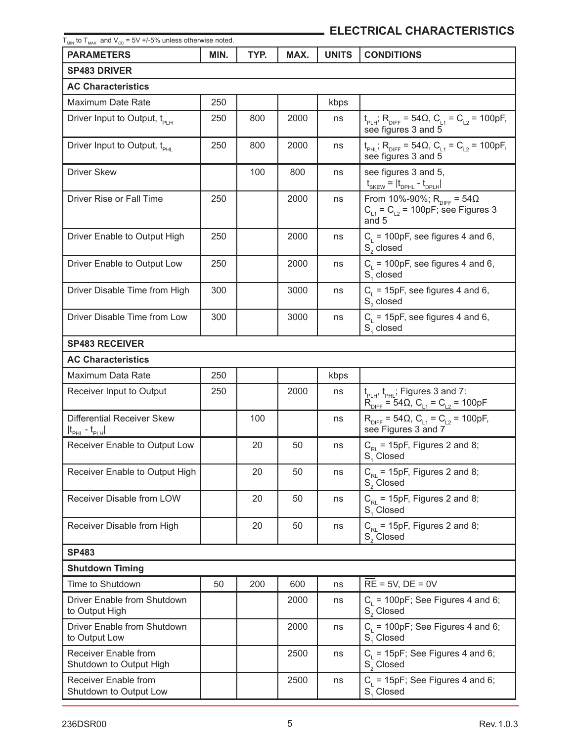| $T_{_{\rm MIN}}$ to $T_{_{\rm MAX}}$ and V $_{_{\rm CC}}$ = 5V +/-5% unless otherwise noted.<br><b>PARAMETERS</b> | MIN. | TYP. | MAX. | <b>UNITS</b> | <b>CONDITIONS</b>                                                                                                      |
|-------------------------------------------------------------------------------------------------------------------|------|------|------|--------------|------------------------------------------------------------------------------------------------------------------------|
|                                                                                                                   |      |      |      |              |                                                                                                                        |
| <b>SP483 DRIVER</b><br><b>AC Characteristics</b>                                                                  |      |      |      |              |                                                                                                                        |
| Maximum Date Rate                                                                                                 | 250  |      |      | kbps         |                                                                                                                        |
| Driver Input to Output, t <sub>PLH</sub>                                                                          | 250  | 800  | 2000 | ns           | $t_{\text{PLH}}$ ; R <sub>DIFF</sub> = 54 $\Omega$ , C <sub>L1</sub> = C <sub>L2</sub> = 100pF,<br>see figures 3 and 5 |
| Driver Input to Output, t <sub>pHI</sub>                                                                          | 250  | 800  | 2000 | ns           | $t_{PHL}$ ; R <sub>DIFF</sub> = 54 $\Omega$ , C <sub>L1</sub> = C <sub>L2</sub> = 100pF,<br>see figures 3 and 5        |
| <b>Driver Skew</b>                                                                                                |      | 100  | 800  | ns           | see figures 3 and 5,<br>$t_{SKEW} =  t_{DPHL} - t_{DPLH} $                                                             |
| Driver Rise or Fall Time                                                                                          | 250  |      | 2000 | ns           | From 10%-90%; R <sub>DIFF</sub> = 54Ω<br>$C_{11} = C_{12} = 100pF$ ; see Figures 3<br>and 5                            |
| Driver Enable to Output High                                                                                      | 250  |      | 2000 | ns           | $C_i$ = 100pF, see figures 4 and 6,<br>$S_2$ closed                                                                    |
| Driver Enable to Output Low                                                                                       | 250  |      | 2000 | ns           | $Ci$ = 100pF, see figures 4 and 6,<br>S <sub>1</sub> closed                                                            |
| Driver Disable Time from High                                                                                     | 300  |      | 3000 | ns           | $C_i$ = 15pF, see figures 4 and 6,<br>S <sub>2</sub> closed                                                            |
| Driver Disable Time from Low                                                                                      | 300  |      | 3000 | ns           | $C1$ = 15pF, see figures 4 and 6,<br>S <sub>1</sub> closed                                                             |
| <b>SP483 RECEIVER</b>                                                                                             |      |      |      |              |                                                                                                                        |
| <b>AC Characteristics</b>                                                                                         |      |      |      |              |                                                                                                                        |
| Maximum Data Rate                                                                                                 | 250  |      |      | kbps         |                                                                                                                        |
| Receiver Input to Output                                                                                          | 250  |      | 2000 | ns           | t <sub>PLH</sub> , t <sub>PHL</sub> ; Figures 3 and 7:<br>$R_{\text{DIFF}} = 54 \Omega$ , $C_{L1} = C_{L2} = 100pF$    |
| Differential Receiver Skew<br>$ t_{\scriptscriptstyle{\sf PHL}}$ - $t_{\scriptscriptstyle{\sf PLH}} $             |      | 100  |      | ns           | $R_{\text{DIFF}} = 54 \Omega$ , $C_{L1} = C_{L2} = 100pF$ ,<br>see Figures 3 and 7                                     |
| Receiver Enable to Output Low                                                                                     |      | 20   | 50   | ns           | $C_{\text{RI}}$ = 15pF, Figures 2 and 8;<br>S, Closed                                                                  |
| Receiver Enable to Output High                                                                                    |      | 20   | 50   | ns           | $C_{\text{RI}}$ = 15pF, Figures 2 and 8;<br>S. Closed                                                                  |
| Receiver Disable from LOW                                                                                         |      | 20   | 50   | ns           | $C_{\text{RL}}$ = 15pF, Figures 2 and 8;<br>S. Closed                                                                  |
| Receiver Disable from High                                                                                        |      | 20   | 50   | ns           | $C_{\text{RI}}$ = 15pF, Figures 2 and 8;<br>S <sub>2</sub> Closed                                                      |
| <b>SP483</b>                                                                                                      |      |      |      |              |                                                                                                                        |
| <b>Shutdown Timing</b>                                                                                            |      |      |      |              |                                                                                                                        |
| Time to Shutdown                                                                                                  | 50   | 200  | 600  | ns           | $RE = 5V$ , $DE = 0V$                                                                                                  |
| Driver Enable from Shutdown<br>to Output High                                                                     |      |      | 2000 | ns           | $C_i$ = 100pF; See Figures 4 and 6;<br>S <sub>2</sub> Closed                                                           |
| Driver Enable from Shutdown<br>to Output Low                                                                      |      |      | 2000 | ns           | $C_i$ = 100pF; See Figures 4 and 6;<br>S <sub>1</sub> Closed                                                           |
| Receiver Enable from<br>Shutdown to Output High                                                                   |      |      | 2500 | ns           | $C_i$ = 15pF; See Figures 4 and 6;<br>$S_2^-$ Closed                                                                   |
| Receiver Enable from<br>Shutdown to Output Low                                                                    |      |      | 2500 | ns           | $C_i$ = 15pF; See Figures 4 and 6;<br>S, Closed                                                                        |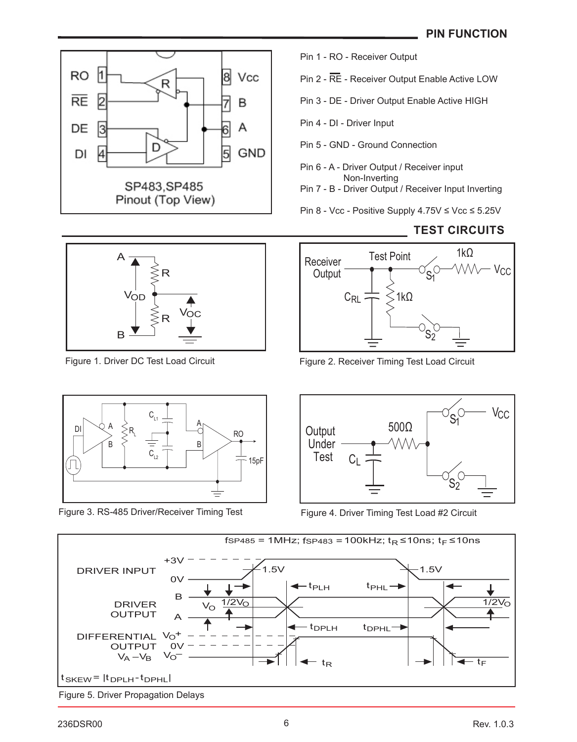**TEST CIRCUITS**



Pin 1 - RO - Receiver Output

Pin 2 - RE - Receiver Output Enable Active LOW

Pin 3 - DE - Driver Output Enable Active HIGH

Pin 4 - DI - Driver Input

Pin 5 - GND - Ground Connection

Pin 6 - A - Driver Output / Receiver input Non-Inverting

Pin 7 - B - Driver Output / Receiver Input Inverting

Pin 8 - Vcc - Positive Supply 4.75V ≤ Vcc ≤ 5.25V



Figure 1. Driver DC Test Load Circuit



Figure 3. RS-485 Driver/Receiver Timing Test



Figure 2. Receiver Timing Test Load Circuit



Figure 4. Driver Timing Test Load #2 Circuit

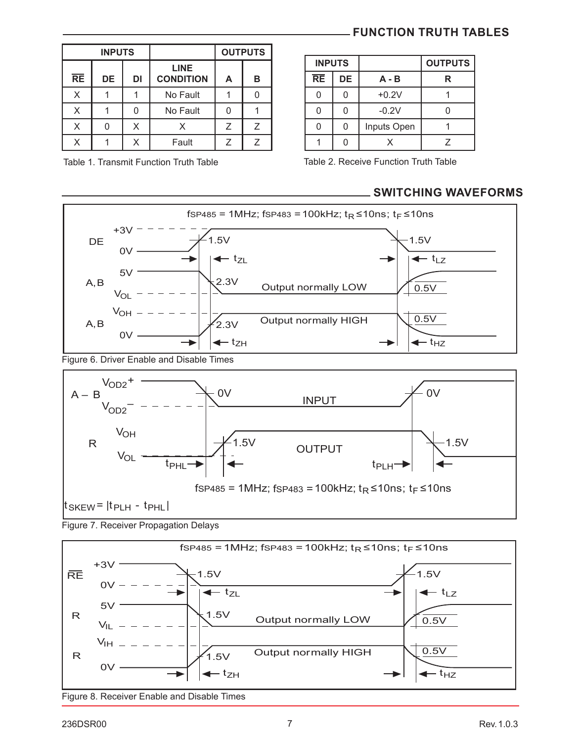| <b>INPUTS</b> |           |    |                                 |   | <b>OUTPUTS</b> |
|---------------|-----------|----|---------------------------------|---|----------------|
| <b>RE</b>     | <b>DE</b> | DI | <b>LINE</b><br><b>CONDITION</b> | A | в              |
| x             |           |    | No Fault                        |   |                |
| X             |           |    | No Fault                        |   |                |
| X             |           | Χ  |                                 | 7 |                |
|               |           |    | Fault                           |   |                |

Table 1. Transmit Function Truth Table

#### **FUNCTION TRUTH TABLES**

| <b>INPUTS</b>   |    |             | <b>OUTPUTS</b> |
|-----------------|----|-------------|----------------|
| $\overline{RE}$ | DE | $A - B$     | R              |
|                 |    | $+0.2V$     |                |
|                 |    | $-0.2V$     |                |
|                 |    | Inputs Open |                |
|                 |    |             |                |

Table 2. Receive Function Truth Table

#### **SWITCHING WAVEFORMS**



Figure 6. Driver Enable and Disable Times







Figure 8. Receiver Enable and Disable Times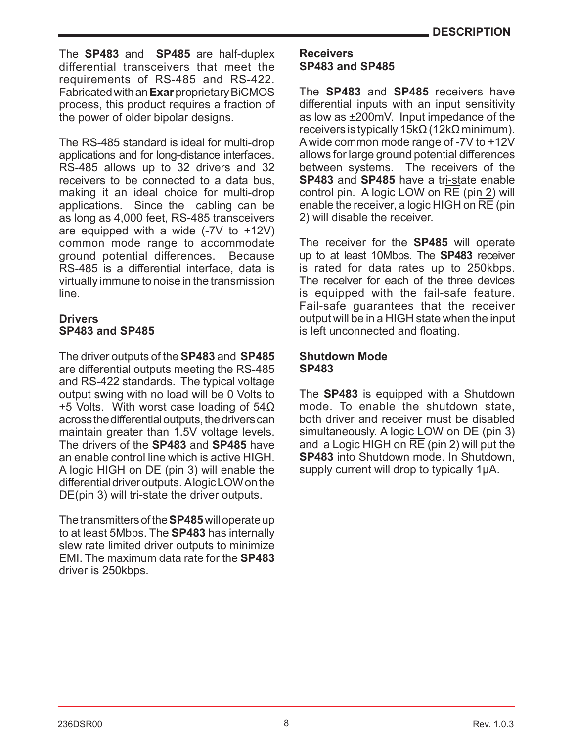The **SP483** and **SP485** are half-duplex differential transceivers that meet the requirements of RS-485 and RS-422. Fabricated with an **Exar** proprietary BiCMOS process, this product requires a fraction of the power of older bipolar designs.

The RS-485 standard is ideal for multi-drop applications and for long-distance interfaces. RS-485 allows up to 32 drivers and 32 receivers to be connected to a data bus, making it an ideal choice for multi-drop applications. Since the cabling can be as long as 4,000 feet, RS-485 transceivers are equipped with a wide (-7V to +12V) common mode range to accommodate ground potential differences. Because RS-485 is a differential interface, data is virtually immune to noise in the transmission line.

#### **Drivers SP483 and SP485**

The driver outputs of the **SP483** and **SP485** are differential outputs meeting the RS-485 and RS-422 standards. The typical voltage output swing with no load will be 0 Volts to +5 Volts. With worst case loading of 54Ω across the differential outputs, the drivers can maintain greater than 1.5V voltage levels. The drivers of the **SP483** and **SP485** have an enable control line which is active HIGH. A logic HIGH on DE (pin 3) will enable the differential driver outputs. A logic LOW on the DE(pin 3) will tri-state the driver outputs.

The transmitters of the **SP485** will operate up to at least 5Mbps. The **SP483** has internally slew rate limited driver outputs to minimize EMI. The maximum data rate for the **SP483** driver is 250kbps.

#### **Receivers SP483 and SP485**

The **SP483** and **SP485** receivers have differential inputs with an input sensitivity as low as ±200mV. Input impedance of the receivers is typically 15kΩ (12kΩ minimum). A wide common mode range of -7V to +12V allows for large ground potential differences between systems. The receivers of the **SP483** and **SP485** have a tri-state enable control pin. A logic LOW on RE (pin 2) will enable the receiver, a logic HIGH on  $\overline{\text{RE}}$  (pin 2) will disable the receiver.

The receiver for the **SP485** will operate up to at least 10Mbps. The **SP483** receiver is rated for data rates up to 250kbps. The receiver for each of the three devices is equipped with the fail-safe feature. Fail-safe guarantees that the receiver output will be in a HIGH state when the input is left unconnected and floating.

#### **Shutdown Mode SP483**

The **SP483** is equipped with a Shutdown mode. To enable the shutdown state, both driver and receiver must be disabled simultaneously. A logic LOW on DE (pin 3) and a Logic HIGH on  $\overline{RE}$  (pin 2) will put the **SP483** into Shutdown mode. In Shutdown, supply current will drop to typically 1µA.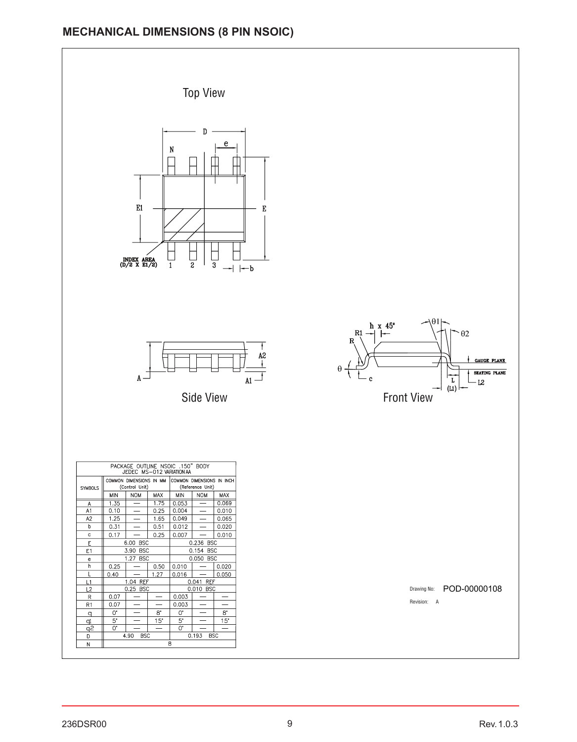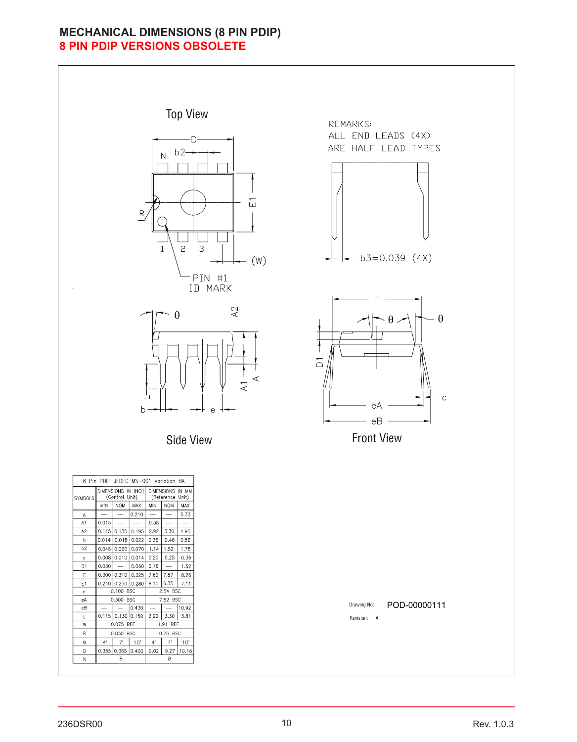#### **MECHANICAL DIMENSIONS (8 PIN PDIP) 8 PIN PDIP VERSIONS OBSOLETE**

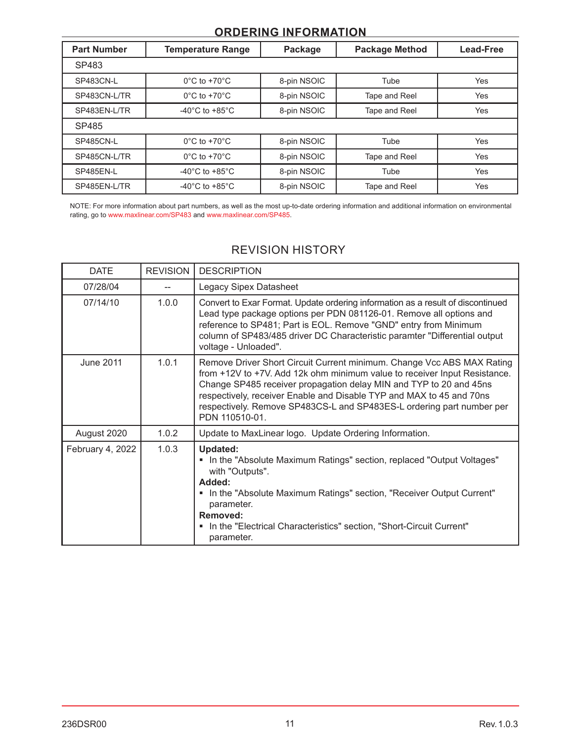#### **ORDERING INFORMATION**

| <b>Part Number</b> | <b>Temperature Range</b>             | Package     | <b>Package Method</b> | <b>Lead-Free</b> |
|--------------------|--------------------------------------|-------------|-----------------------|------------------|
| SP483              |                                      |             |                       |                  |
| SP483CN-L          | $0^{\circ}$ C to +70 $^{\circ}$ C    | 8-pin NSOIC | Tube                  | Yes              |
| SP483CN-L/TR       | $0^{\circ}$ C to +70 $^{\circ}$ C    | 8-pin NSOIC | Tape and Reel         | Yes              |
| SP483EN-L/TR       | -40 $^{\circ}$ C to +85 $^{\circ}$ C | 8-pin NSOIC | Tape and Reel         | Yes              |
| SP485              |                                      |             |                       |                  |
| SP485CN-L          | $0^{\circ}$ C to +70 $^{\circ}$ C    | 8-pin NSOIC | Tube                  | Yes              |
| SP485CN-L/TR       | $0^{\circ}$ C to +70 $^{\circ}$ C    | 8-pin NSOIC | Tape and Reel         | Yes              |
| SP485EN-L          | -40 $^{\circ}$ C to +85 $^{\circ}$ C | 8-pin NSOIC | Tube                  | <b>Yes</b>       |
| SP485EN-L/TR       | -40 $^{\circ}$ C to +85 $^{\circ}$ C | 8-pin NSOIC | Tape and Reel         | Yes              |

[NOTE: For more information about part numbers, as well as the most up-to-date ordering information and additional information on environmental](http://www.maxlinear.com/SP483)  rating, go to [www.maxlinear.com/SP483](http://www.maxlinear.com/SP483) and [www.maxlinear.com/SP485](http://www.maxlinear.com/SP485).

### REVISION HISTORY

| <b>DATE</b>      | <b>REVISION</b> | <b>DESCRIPTION</b>                                                                                                                                                                                                                                                                                                                                                                           |
|------------------|-----------------|----------------------------------------------------------------------------------------------------------------------------------------------------------------------------------------------------------------------------------------------------------------------------------------------------------------------------------------------------------------------------------------------|
| 07/28/04         |                 | Legacy Sipex Datasheet                                                                                                                                                                                                                                                                                                                                                                       |
| 07/14/10         | 1.0.0           | Convert to Exar Format. Update ordering information as a result of discontinued<br>Lead type package options per PDN 081126-01. Remove all options and<br>reference to SP481; Part is EOL. Remove "GND" entry from Minimum<br>column of SP483/485 driver DC Characteristic paramter "Differential output<br>voltage - Unloaded".                                                             |
| June 2011        | 1.0.1           | Remove Driver Short Circuit Current minimum. Change Vcc ABS MAX Rating<br>from +12V to +7V. Add 12k ohm minimum value to receiver Input Resistance.<br>Change SP485 receiver propagation delay MIN and TYP to 20 and 45ns<br>respectively, receiver Enable and Disable TYP and MAX to 45 and 70ns<br>respectively. Remove SP483CS-L and SP483ES-L ordering part number per<br>PDN 110510-01. |
| August 2020      | 1.0.2           | Update to MaxLinear logo. Update Ordering Information.                                                                                                                                                                                                                                                                                                                                       |
| February 4, 2022 | 1.0.3           | Updated:<br>" In the "Absolute Maximum Ratings" section, replaced "Output Voltages"<br>with "Outputs".<br>:Added<br>" In the "Absolute Maximum Ratings" section, "Receiver Output Current"<br>parameter.<br>Removed:<br>• In the "Electrical Characteristics" section, "Short-Circuit Current"<br>parameter.                                                                                 |